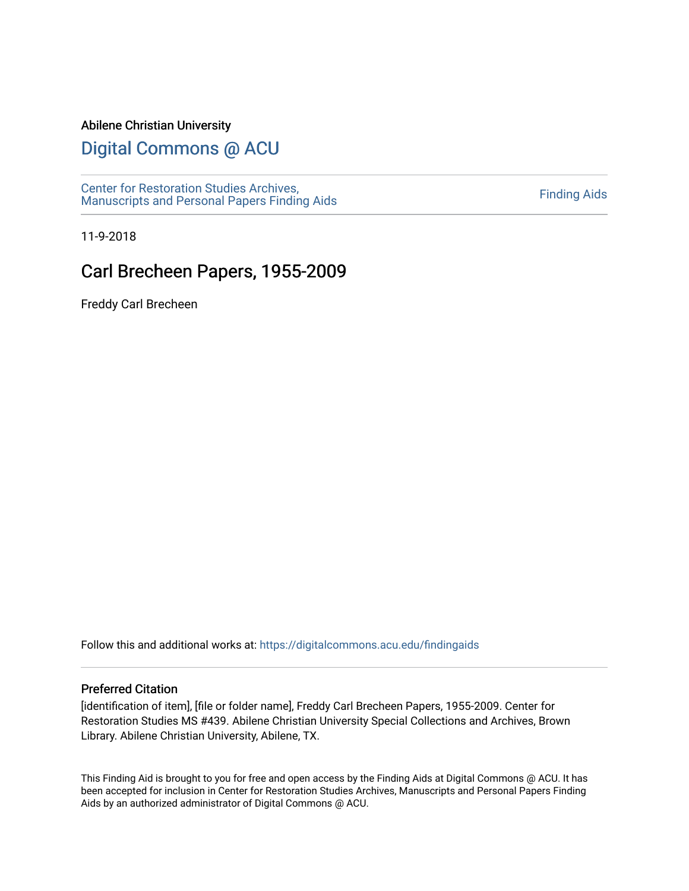#### Abilene Christian University

# [Digital Commons @ ACU](https://digitalcommons.acu.edu/)

[Center for Restoration Studies Archives,](https://digitalcommons.acu.edu/findingaids)  [Manuscripts and Personal Papers Finding Aids](https://digitalcommons.acu.edu/findingaids) [Finding Aids](https://digitalcommons.acu.edu/crs_finding_aids) 

11-9-2018

# Carl Brecheen Papers, 1955-2009

Freddy Carl Brecheen

Follow this and additional works at: [https://digitalcommons.acu.edu/findingaids](https://digitalcommons.acu.edu/findingaids?utm_source=digitalcommons.acu.edu%2Ffindingaids%2F724&utm_medium=PDF&utm_campaign=PDFCoverPages)

#### Preferred Citation

[identification of item], [file or folder name], Freddy Carl Brecheen Papers, 1955-2009. Center for Restoration Studies MS #439. Abilene Christian University Special Collections and Archives, Brown Library. Abilene Christian University, Abilene, TX.

This Finding Aid is brought to you for free and open access by the Finding Aids at Digital Commons @ ACU. It has been accepted for inclusion in Center for Restoration Studies Archives, Manuscripts and Personal Papers Finding Aids by an authorized administrator of Digital Commons @ ACU.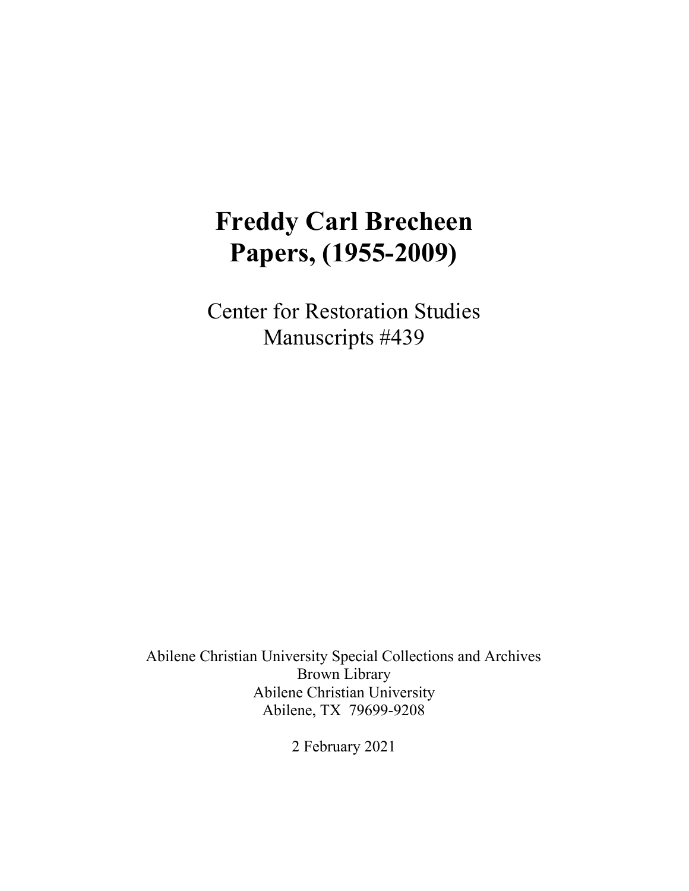# **Freddy Carl Brecheen Papers, (1955-2009)**

Center for Restoration Studies Manuscripts #439

Abilene Christian University Special Collections and Archives Brown Library Abilene Christian University Abilene, TX 79699-9208

2 February 2021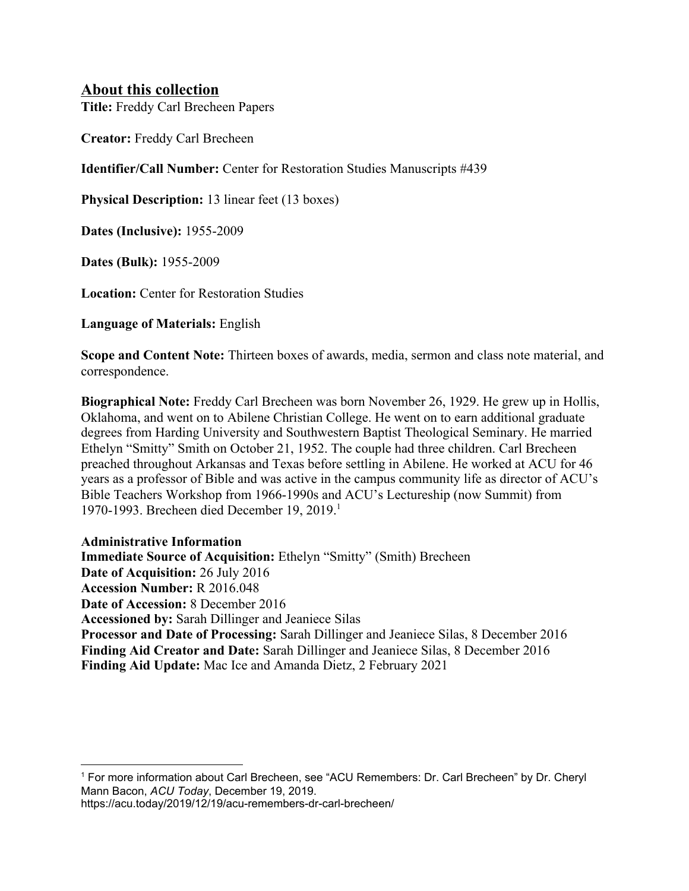## **About this collection**

**Title:** Freddy Carl Brecheen Papers

**Creator:** Freddy Carl Brecheen

**Identifier/Call Number:** Center for Restoration Studies Manuscripts #439

**Physical Description:** 13 linear feet (13 boxes)

**Dates (Inclusive):** 1955-2009

**Dates (Bulk):** 1955-2009

**Location:** Center for Restoration Studies

**Language of Materials:** English

**Scope and Content Note:** Thirteen boxes of awards, media, sermon and class note material, and correspondence.

**Biographical Note:** Freddy Carl Brecheen was born November 26, 1929. He grew up in Hollis, Oklahoma, and went on to Abilene Christian College. He went on to earn additional graduate degrees from Harding University and Southwestern Baptist Theological Seminary. He married Ethelyn "Smitty" Smith on October 21, 1952. The couple had three children. Carl Brecheen preached throughout Arkansas and Texas before settling in Abilene. He worked at ACU for 46 years as a professor of Bible and was active in the campus community life as director of ACU's Bible Teachers Workshop from 1966-1990s and ACU's Lectureship (now Summit) from 1970-1993. Brecheen died December 19, 2019.<sup>1</sup>

#### **Administrative Information**

**Immediate Source of Acquisition:** Ethelyn "Smitty" (Smith) Brecheen **Date of Acquisition:** 26 July 2016 **Accession Number:** R 2016.048 **Date of Accession:** 8 December 2016 **Accessioned by:** Sarah Dillinger and Jeaniece Silas **Processor and Date of Processing:** Sarah Dillinger and Jeaniece Silas, 8 December 2016 **Finding Aid Creator and Date:** Sarah Dillinger and Jeaniece Silas, 8 December 2016 **Finding Aid Update:** Mac Ice and Amanda Dietz, 2 February 2021

<sup>1</sup> For more information about Carl Brecheen, see "ACU Remembers: Dr. Carl Brecheen" by Dr. Cheryl Mann Bacon, *ACU Today*, December 19, 2019.

https://acu.today/2019/12/19/acu-remembers-dr-carl-brecheen/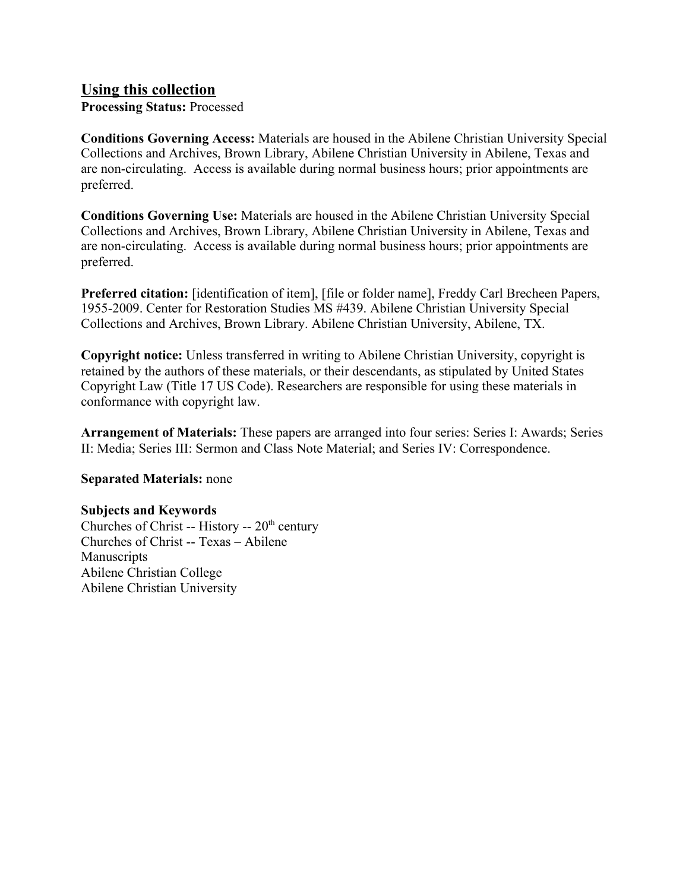## **Using this collection**

**Processing Status:** Processed

**Conditions Governing Access:** Materials are housed in the Abilene Christian University Special Collections and Archives, Brown Library, Abilene Christian University in Abilene, Texas and are non-circulating. Access is available during normal business hours; prior appointments are preferred.

**Conditions Governing Use:** Materials are housed in the Abilene Christian University Special Collections and Archives, Brown Library, Abilene Christian University in Abilene, Texas and are non-circulating. Access is available during normal business hours; prior appointments are preferred.

**Preferred citation:** [identification of item], [file or folder name], Freddy Carl Brecheen Papers, 1955-2009. Center for Restoration Studies MS #439. Abilene Christian University Special Collections and Archives, Brown Library. Abilene Christian University, Abilene, TX.

**Copyright notice:** Unless transferred in writing to Abilene Christian University, copyright is retained by the authors of these materials, or their descendants, as stipulated by United States Copyright Law (Title 17 US Code). Researchers are responsible for using these materials in conformance with copyright law.

**Arrangement of Materials:** These papers are arranged into four series: Series I: Awards; Series II: Media; Series III: Sermon and Class Note Material; and Series IV: Correspondence.

#### **Separated Materials:** none

#### **Subjects and Keywords**

Churches of Christ -- History --  $20<sup>th</sup>$  century Churches of Christ -- Texas – Abilene Manuscripts Abilene Christian College Abilene Christian University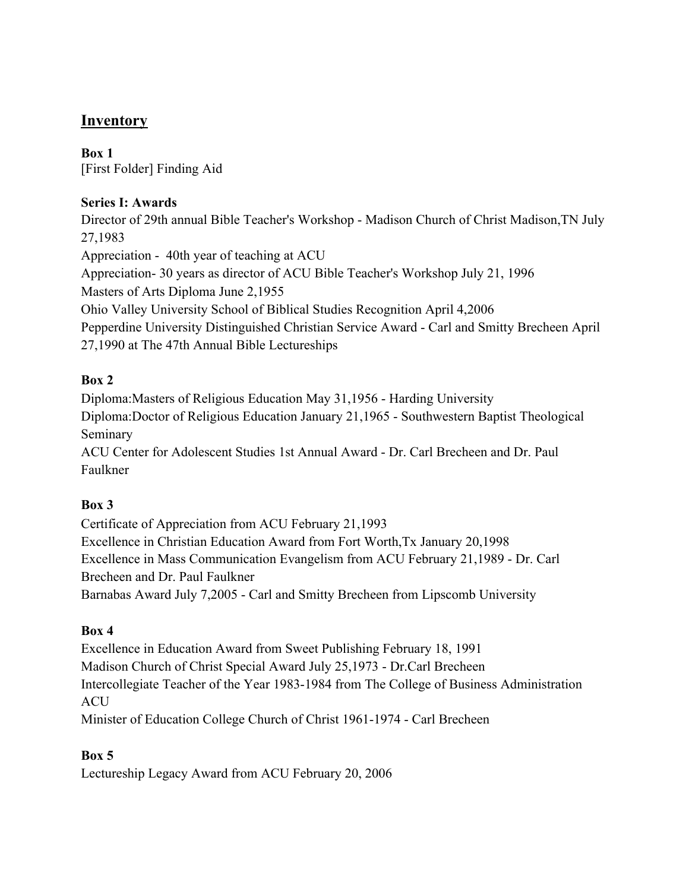# **Inventory**

**Box 1** [First Folder] Finding Aid

## **Series I: Awards**

Director of 29th annual Bible Teacher's Workshop - Madison Church of Christ Madison,TN July 27,1983 Appreciation - 40th year of teaching at ACU Appreciation- 30 years as director of ACU Bible Teacher's Workshop July 21, 1996 Masters of Arts Diploma June 2,1955 Ohio Valley University School of Biblical Studies Recognition April 4,2006 Pepperdine University Distinguished Christian Service Award - Carl and Smitty Brecheen April 27,1990 at The 47th Annual Bible Lectureships

## **Box 2**

Diploma:Masters of Religious Education May 31,1956 - Harding University Diploma:Doctor of Religious Education January 21,1965 - Southwestern Baptist Theological Seminary ACU Center for Adolescent Studies 1st Annual Award - Dr. Carl Brecheen and Dr. Paul

Faulkner

## **Box 3**

Certificate of Appreciation from ACU February 21,1993 Excellence in Christian Education Award from Fort Worth,Tx January 20,1998 Excellence in Mass Communication Evangelism from ACU February 21,1989 - Dr. Carl Brecheen and Dr. Paul Faulkner Barnabas Award July 7,2005 - Carl and Smitty Brecheen from Lipscomb University

## **Box 4**

Excellence in Education Award from Sweet Publishing February 18, 1991 Madison Church of Christ Special Award July 25,1973 - Dr.Carl Brecheen Intercollegiate Teacher of the Year 1983-1984 from The College of Business Administration **ACU** Minister of Education College Church of Christ 1961-1974 - Carl Brecheen

## **Box 5**

Lectureship Legacy Award from ACU February 20, 2006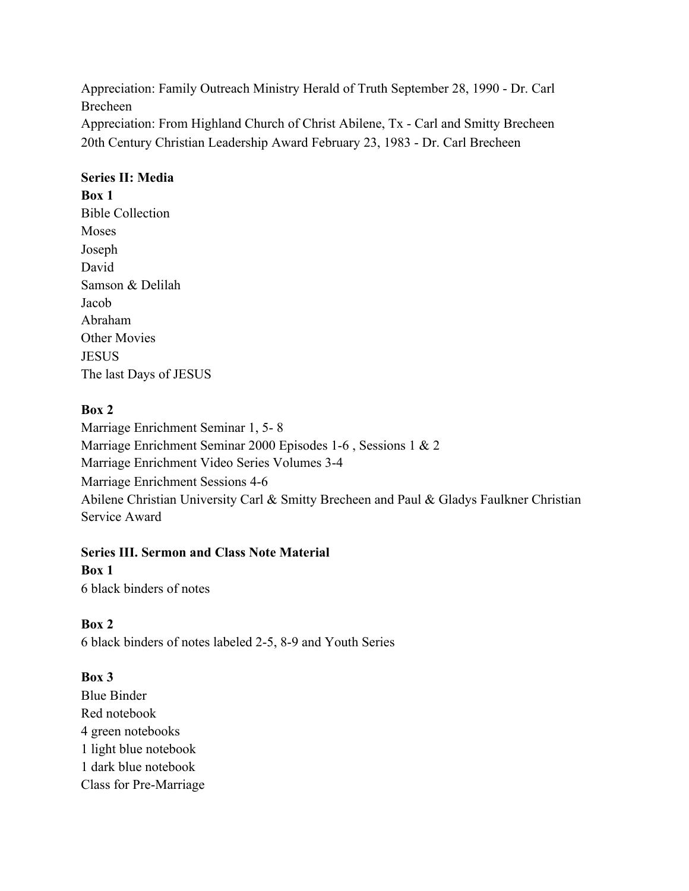Appreciation: Family Outreach Ministry Herald of Truth September 28, 1990 - Dr. Carl Brecheen Appreciation: From Highland Church of Christ Abilene, Tx - Carl and Smitty Brecheen

20th Century Christian Leadership Award February 23, 1983 - Dr. Carl Brecheen

## **Series II: Media**

#### **Box 1**

Bible Collection Moses Joseph David Samson & Delilah Jacob Abraham Other Movies **JESUS** The last Days of JESUS

## **Box 2**

Marriage Enrichment Seminar 1, 5- 8 Marriage Enrichment Seminar 2000 Episodes 1-6 , Sessions 1 & 2 Marriage Enrichment Video Series Volumes 3-4 Marriage Enrichment Sessions 4-6 Abilene Christian University Carl & Smitty Brecheen and Paul & Gladys Faulkner Christian Service Award

#### **Series III. Sermon and Class Note Material**

## **Box 1**

6 black binders of notes

## **Box 2**

6 black binders of notes labeled 2-5, 8-9 and Youth Series

## **Box 3**

Blue Binder Red notebook 4 green notebooks 1 light blue notebook 1 dark blue notebook Class for Pre-Marriage